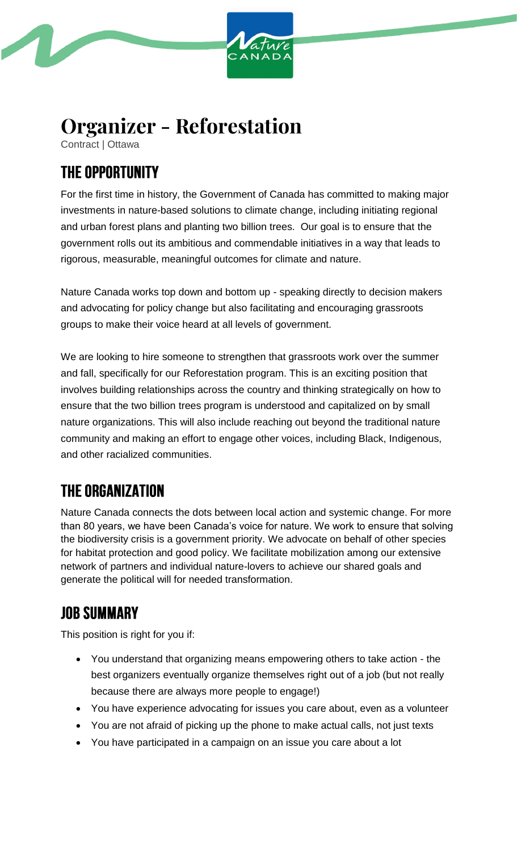

# **Organizer - Reforestation**

Contract | Ottawa

## **THE OPPORTUNITY**

For the first time in history, the Government of Canada has committed to making major investments in nature-based solutions to climate change, including initiating regional and urban forest plans and planting two billion trees. Our goal is to ensure that the government rolls out its ambitious and commendable initiatives in a way that leads to rigorous, measurable, meaningful outcomes for climate and nature.

Nature Canada works top down and bottom up - speaking directly to decision makers and advocating for policy change but also facilitating and encouraging grassroots groups to make their voice heard at all levels of government.

We are looking to hire someone to strengthen that grassroots work over the summer and fall, specifically for our Reforestation program. This is an exciting position that involves building relationships across the country and thinking strategically on how to ensure that the two billion trees program is understood and capitalized on by small nature organizations. This will also include reaching out beyond the traditional nature community and making an effort to engage other voices, including Black, Indigenous, and other racialized communities.

## **THE ORGANIZATION**

Nature Canada connects the dots between local action and systemic change. For more than 80 years, we have been Canada's voice for nature. We work to ensure that solving the biodiversity crisis is a government priority. We advocate on behalf of other species for habitat protection and good policy. We facilitate mobilization among our extensive network of partners and individual nature-lovers to achieve our shared goals and generate the political will for needed transformation.

## **JOB SUMMARY**

This position is right for you if:

- You understand that organizing means empowering others to take action the best organizers eventually organize themselves right out of a job (but not really because there are always more people to engage!)
- You have experience advocating for issues you care about, even as a volunteer
- You are not afraid of picking up the phone to make actual calls, not just texts
- You have participated in a campaign on an issue you care about a lot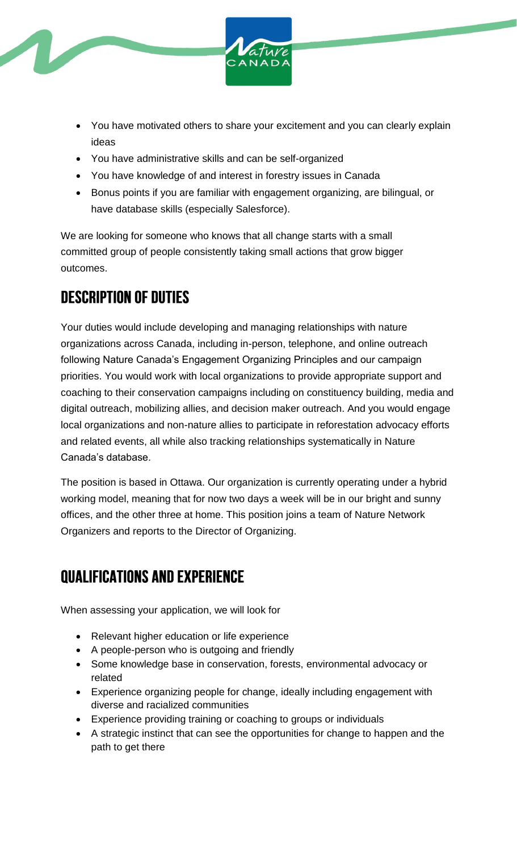

- You have motivated others to share your excitement and you can clearly explain ideas
- You have administrative skills and can be self-organized
- You have knowledge of and interest in forestry issues in Canada
- Bonus points if you are familiar with engagement organizing, are bilingual, or have database skills (especially Salesforce).

We are looking for someone who knows that all change starts with a small committed group of people consistently taking small actions that grow bigger outcomes.

## **DESCRIPTION OF DUTIES**

Your duties would include developing and managing relationships with nature organizations across Canada, including in-person, telephone, and online outreach following Nature Canada's Engagement Organizing Principles and our campaign priorities. You would work with local organizations to provide appropriate support and coaching to their conservation campaigns including on constituency building, media and digital outreach, mobilizing allies, and decision maker outreach. And you would engage local organizations and non-nature allies to participate in reforestation advocacy efforts and related events, all while also tracking relationships systematically in Nature Canada's database.

The position is based in Ottawa. Our organization is currently operating under a hybrid working model, meaning that for now two days a week will be in our bright and sunny offices, and the other three at home. This position joins a team of Nature Network Organizers and reports to the Director of Organizing.

## **QUALIFICATIONS AND EXPERIENCE**

When assessing your application, we will look for

- Relevant higher education or life experience
- A people-person who is outgoing and friendly
- Some knowledge base in conservation, forests, environmental advocacy or related
- Experience organizing people for change, ideally including engagement with diverse and racialized communities
- Experience providing training or coaching to groups or individuals
- A strategic instinct that can see the opportunities for change to happen and the path to get there